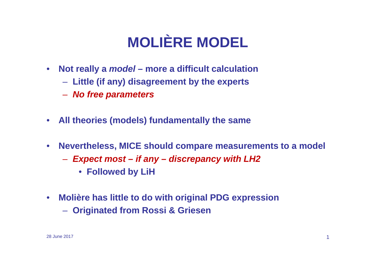# **MOLIÈRE MODEL**

- **Not really a model – more a difficult calculation**
	- **Little (if any) disagreement by the experts**
	- **Hart Committee No free parameters**
- $\bullet$ **All theories (models) fundamentally the same**
- $\bullet$  **Nevertheless, MICE should compare measurements to a model**
	- **Hart Committee Expect most – if any – discrepancy with LH2**
		- **Followed by LiH**
- **Molière has little to do with original PDG expression**
	- **Originated from Rossi & Griesen**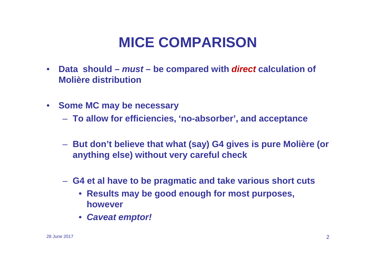## **MICE COMPARISON**

- **Data should – must – be compared with direct calculation of Molière distribution**
- **Some MC may be necessary**
	- **To allow for efficiencies, 'no-absorber', and acceptance**
	- **But don't believe that what (say) G4 gives is pure Molière (or anything else) without very careful check**
	- **G4 et al have to be pragmatic and take various short cuts**
		- **Results may be good enough for most purposes, however**
		- **Caveat emptor!**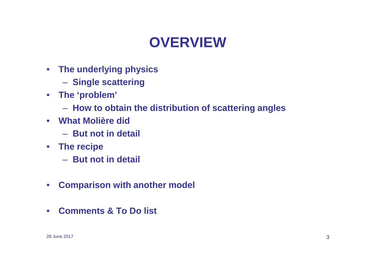## **OVERVIEW**

- **The underlying physics**
	- **Single scattering**
- **The 'problem'**
	- **How to obtain the distribution of scattering angles**
- **What Molière did**
	- **A** But not in detail
- **The recipe**
	- **Hart Communication**  $-$  But not in detail
- $\bullet$ **Comparison with another model**
- **Comments & To Do list**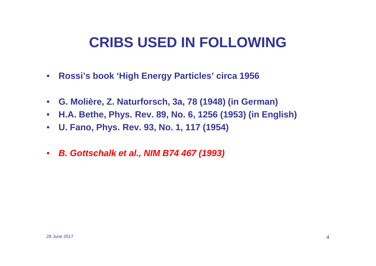## **CRIBS USED IN FOLLOWING**

- **Rossi's book 'High Energy Particles' circa 1956**
- **G. Molière, Z. Naturforsch, 3a, 78 (1948) (in German)**
- **H.A. Bethe, Phys. Rev. 89, No. 6, 1256 (1953) (in English)**
- **U. Fano, Phys. Rev. 93, No. 1, 117 (1954)**
- **B. Gottschalk et al., NIM B74 467 (1993)**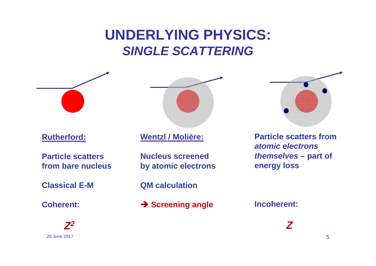## **UNDERLYING PHYSICS:SINGLE SCATTERING**

#### **Rutherford:**

**Particle scatters from bare nucleus**

**Classical E-M**

**Coherent:**





#### **Wentzl / Molière:**

**Nucleus screened by atomic electrons**

**QM calculation**

**→ Screening angle** 

**Particle scatters from atomic electrons themselves – part of energy loss**

**Incoherent:**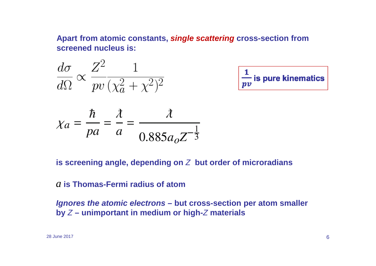**Apart from atomic constants, single scattering cross-section from screened nucleus is:**

$$
\frac{d\sigma}{d\Omega} \propto \frac{Z^2}{pv} \frac{1}{(\chi_a^2 + \chi^2)^2}
$$

$$
\chi_a = \frac{\hbar}{pa} = \frac{\lambda}{a} = \frac{\lambda}{0.885a_0 Z^{-\frac{3}{2}}}
$$

$$
\frac{1}{pv}
$$
 is pure kinematics

**is screening angle, depending on** Z **but order of microradians**

### *a* **is Thomas-Fermi radius of atom**

**Ignores the atomic electrons – but cross-section per atom smaller by** Z **– unimportant in medium or high-**<sup>Z</sup> **materials**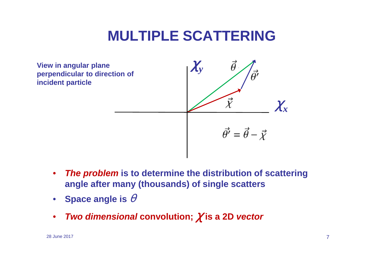## **MULTIPLE SCATTERING**



- $\bullet$  **The problem is to determine the distribution of scattering angle after many (thousands) of single scatters**
- $\bullet$ • Space angle is  $\theta$
- $\bullet$ **Two dimensional convolution;** χ **is a 2D vector**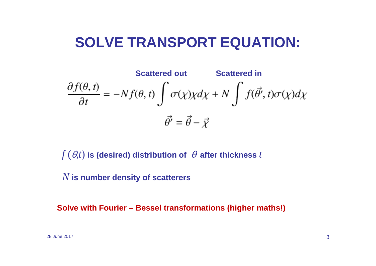## **SOLVE TRANSPORT EQUATION:**

**Scattered out**  
\n
$$
\frac{\partial f(\theta, t)}{\partial t} = -Nf(\theta, t) \int \sigma(\chi)\chi d\chi + N \int f(\vec{\theta'}, t)\sigma(\chi)d\chi
$$
\n
$$
\vec{\theta'} = \vec{\theta} - \vec{\chi}
$$

 $f\left(\theta,t\right)$  is (desired) distribution of  $\;\theta$  after thickness  $t$ 

*N* **is number density of scatterers**

**Solve with Fourier – Bessel transformations (higher maths!)**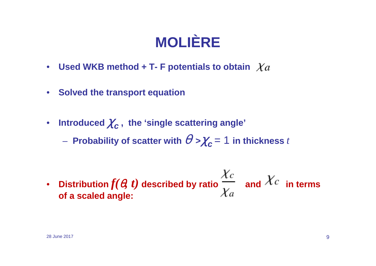# **MOLIÈRE**

- **Used WKB method + T- F potentials to obtain**
- **Solved the transport equation**
- Introduced  $\chi_{\boldsymbol{c}}^{}$  , the 'single scattering angle'

 $-$  Probability of scatter with  $\theta > \chi_{\bm{c}}$   $= 1$  in thickness  $t$ 

•• Distribution $f(\bm{\theta},\bm{t})$  described by ratio  $\frac{1}{\bm{V}}$  and  $\bm{\mathcal{A}}^{\mathcal{L}}$  in terms **of a scaled angle:**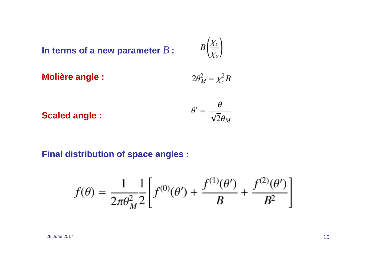In terms of a new parameter  $B$  :

$$
B\left(\frac{\chi_c}{\chi_a}\right)
$$

**Molière angle :** 
$$
2\theta_M^2 = \chi_c^2 B
$$

**Scaled angle :** 
$$
\theta' = \frac{\theta}{\sqrt{2}\theta_M}
$$

### **Final distribution of space angles :**

$$
f(\theta) = \frac{1}{2\pi\theta_M^2} \frac{1}{2} \left[ f^{(0)}(\theta') + \frac{f^{(1)}(\theta')}{B} + \frac{f^{(2)}(\theta')}{B^2} \right]
$$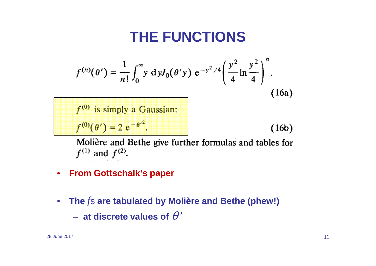## **THE FUNCTIONS**

$$
f^{(n)}(\theta') = \frac{1}{n!} \int_0^\infty y \, dy J_0(\theta' y) e^{-y^2/4} \left(\frac{y^2}{4} \ln \frac{y^2}{4}\right)^n.
$$
  
(16a)  

$$
f^{(0)} \text{ is simply a Gaussian:}
$$
  

$$
f^{(0)}(\theta') = 2 e^{-\theta'^2}.
$$
  
(16b)

Molière and Bethe give further formulas and tables for  $f^{(1)}$  and  $f^{(2)}$ .

- **From Gottschalk's paper**
- • **The**  *f*s **are tabulated by Molière and Bethe (phew!)**
	- $-$  at discrete values of  $\theta$   $^{\prime}$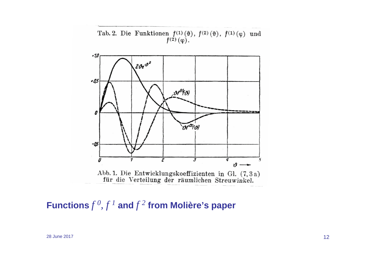Tab. 2. Die Funktionen  $f^{(1)}(\theta)$ ,  $f^{(2)}(\theta)$ ,  $f^{(1)}(\varphi)$  und  $f^{(2)}(\varphi)$ .



**Functions** *f <sup>0</sup>, f <sup>1</sup>* **and** *f <sup>2</sup>* **from Molière's paper**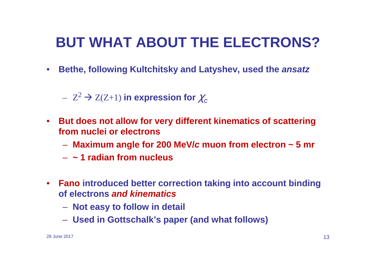## **BUT WHAT ABOUT THE ELECTRONS?**

• **Bethe, following Kultchitsky and Latyshev, used the ansatz**

 $Z^2$  $\alpha^2 \rightarrow Z(Z+1)$  in expression for  $\chi_c^2$ 

- **But does not allow for very different kinematics of scattering from nuclei or electrons**
	- **Maximum angle for 200 MeV/ c muon from electron ~ 5 mr**
	- –**~ 1 radian from nucleus**
- **Fano introduced better correction taking into account binding of electrons and kinematics**
	- **Not easy to follow in detail**
	- **Used in Gottschalk's paper (and what follows)**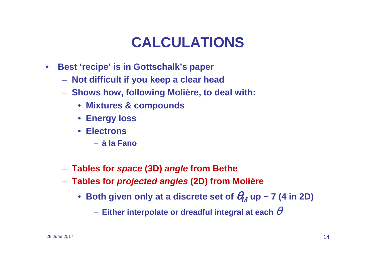## **CALCULATIONS**

- $\bullet$  **Best 'recipe' is in Gottschalk's paper**
	- **Not difficult if you keep a clear head**
	- **Shows how, following Molière, to deal with:**
		- **Mixtures & compounds**
		- **Energy loss**
		- **Electrons**
			- **à la Fano**
	- **Tables for space (3D) angle from Bethe**
	- **Tables for projected angles (2D) from Molière**
		- Both given only at a discrete set of  $\theta_M$  up ~ 7 (4 in 2D)
			- $-$  Either interpolate or dreadful integral at each  $\theta$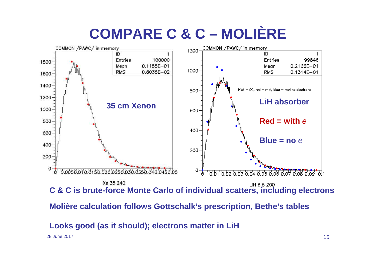

**Molière calculation follows Gottschalk's prescription, Bethe's tables**

**Looks good (as it should); electrons matter in LiH**

28 June 2017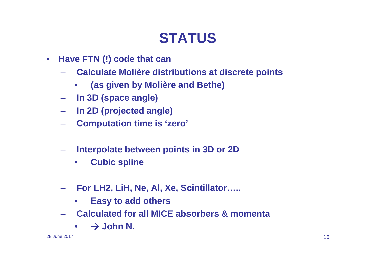## **STATUS**

- **Have FTN (!) code that can** 
	- **Calculate Molière distributions at discrete points** 
		- •**(as given by Molière and Bethe)**
	- **In 3D (space angle)**
	- **In 2D (projected angle)**
	- **Computation time is 'zero'**
	- – **Interpolate between points in 3D or 2D**
		- •**Cubic spline**
	- – **For LH2, LiH, Ne, Al, Xe, Scintillator…..** 
		- $\bullet$ **Easy to add others**
	- **Calculated for all MICE absorbers & momenta**
		- •- **John N.**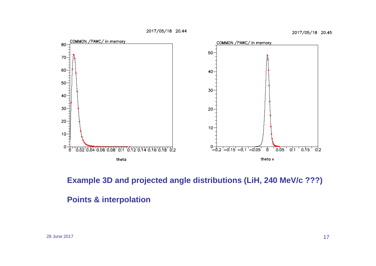2017/05/18 20.44

2017/05/18 20.45



**Example 3D and projected angle distributions (LiH, 240 MeV/c ???)**

#### **Points & interpolation**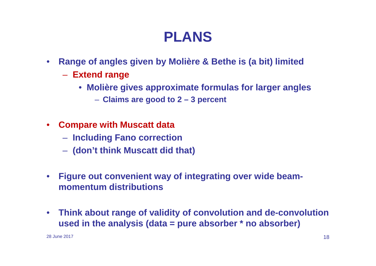## **PLANS**

- • **Range of angles given by Molière & Bethe is (a bit) limited**
	- **Extend range**
		- **Molière gives approximate formulas for larger angles**
			- **Claims are good to 2 – 3 percent**
- **Compare with Muscatt data**
	- **Hart Communication Including Fano correction**
	- **(don't think Muscatt did that)**
- • **Figure out convenient way of integrating over wide beammomentum distributions**
- $\bullet$  **Think about range of validity of convolution and de-convolution used in the analysis (data = pure absorber \* no absorber)**

28 June 2017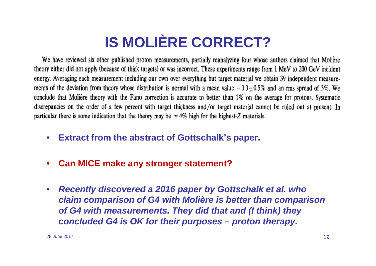# **IS MOLIÈRE CORRECT?**

We have reviewed six other published proton measurements, partially reanalyzing four whose authors claimed that Molière theory either did not apply (because of thick targets) or was incorrect. These experiments range from 1 MeV to 200 GeV incident energy. Averaging each measurement including our own over everything but target material we obtain 39 independent measurements of the deviation from theory whose distribution is normal with a mean value  $-0.3 \pm 0.5\%$  and an rms spread of 3%. We conclude that Molière theory with the Fano correction is accurate to better than 1% on the average for protons. Systematic discrepancies on the order of a few percent with target thickness and/or target material cannot be ruled out at present. In particular there is some indication that the theory may be  $\approx 4\%$  high for the highest-Z materials.

- **Extract from the abstract of Gottschalk's paper.**
- $\bullet$ **Can MICE make any stronger statement?**
- $\bullet$  **Recently discovered a 2016 paper by Gottschalk et al. who claim comparison of G4 with Molière is better than comparison of G4 with measurements. They did that and (I think) they concluded G4 is OK for their purposes – proton therapy.**